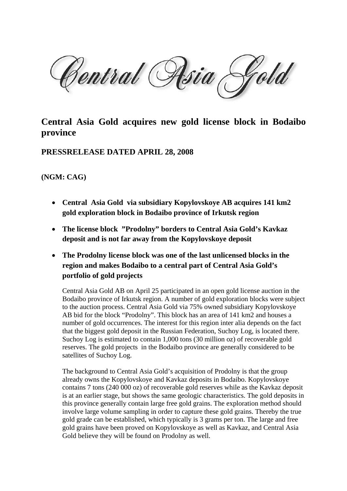Central Asia

## **Central Asia Gold acquires new gold license block in Bodaibo province**

## **PRESSRELEASE DATED APRIL 28, 2008**

## **(NGM: CAG)**

- **Central Asia Gold via subsidiary Kopylovskoye AB acquires 141 km2 gold exploration block in Bodaibo province of Irkutsk region**
- **The license block "Prodolny" borders to Central Asia Gold's Kavkaz deposit and is not far away from the Kopylovskoye deposit**
- **The Prodolny license block was one of the last unlicensed blocks in the region and makes Bodaibo to a central part of Central Asia Gold's portfolio of gold projects**

Central Asia Gold AB on April 25 participated in an open gold license auction in the Bodaibo province of Irkutsk region. A number of gold exploration blocks were subject to the auction process. Central Asia Gold via 75% owned subsidiary Kopylovskoye AB bid for the block "Prodolny". This block has an area of 141 km2 and houses a number of gold occurrences. The interest for this region inter alia depends on the fact that the biggest gold deposit in the Russian Federation, Suchoy Log, is located there. Suchoy Log is estimated to contain 1,000 tons (30 million oz) of recoverable gold reserves. The gold projects in the Bodaibo province are generally considered to be satellites of Suchoy Log.

The background to Central Asia Gold's acquisition of Prodolny is that the group already owns the Kopylovskoye and Kavkaz deposits in Bodaibo. Kopylovskoye contains 7 tons (240 000 oz) of recoverable gold reserves while as the Kavkaz deposit is at an earlier stage, but shows the same geologic characteristics. The gold deposits in this province generally contain large free gold grains. The exploration method should involve large volume sampling in order to capture these gold grains. Thereby the true gold grade can be established, which typically is 3 grams per ton. The large and free gold grains have been proved on Kopylovskoye as well as Kavkaz, and Central Asia Gold believe they will be found on Prodolny as well.